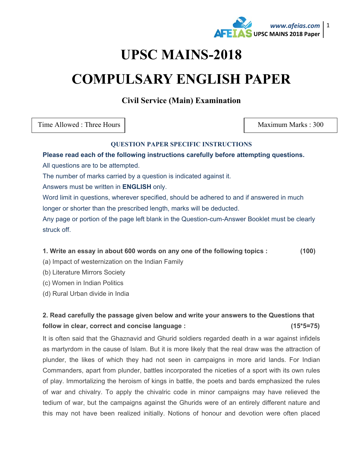

# **UPSC MAINS-2018**

# **COMPULSARY ENGLISH PAPER**

**Civil Service (Main) Examination** 

Time Allowed : Three Hours New York 1 2008 Maximum Marks : 300

#### **QUESTION PAPER SPECIFIC INSTRUCTIONS**

#### **Please read each of the following instructions carefully before attempting questions.**

All questions are to be attempted.

The number of marks carried by a question is indicated against it.

Answers must be written in **ENGLISH** only.

Word limit in questions, wherever specified, should be adhered to and if answered in much longer or shorter than the prescribed length, marks will be deducted.

Any page or portion of the page left blank in the Question-cum-Answer Booklet must be clearly struck off.

#### **1. Write an essay in about 600 words on any one of the following topics : (100)**

(a) Impact of westernization on the Indian Family

(b) Literature Mirrors Society

(c) Women in Indian Politics

(d) Rural Urban divide in India

## **2. Read carefully the passage given below and write your answers to the Questions that follow in clear, correct and concise language : (15\*5=75)**

It is often said that the Ghaznavid and Ghurid soldiers regarded death in a war against infidels as martyrdom in the cause of Islam. But it is more likely that the real draw was the attraction of plunder, the likes of which they had not seen in campaigns in more arid lands. For Indian Commanders, apart from plunder, battles incorporated the niceties of a sport with its own rules of play. Immortalizing the heroism of kings in battle, the poets and bards emphasized the rules of war and chivalry. To apply the chivalric code in minor campaigns may have relieved the tedium of war, but the campaigns against the Ghurids were of an entirely different nature and this may not have been realized initially. Notions of honour and devotion were often placed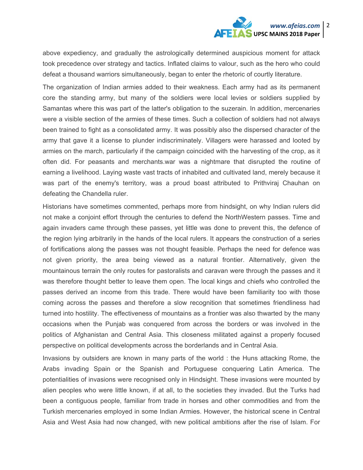# *www.afeias.com* 2 **UPSC MAINS 2018 Paper**

above expediency, and gradually the astrologically determined auspicious moment for attack took precedence over strategy and tactics. Inflated claims to valour, such as the hero who could defeat a thousand warriors simultaneously, began to enter the rhetoric of courtly literature.

The organization of Indian armies added to their weakness. Each army had as its permanent core the standing army, but many of the soldiers were local levies or soldiers supplied by Samantas where this was part of the latter's obligation to the suzerain. In addition, mercenaries were a visible section of the armies of these times. Such a collection of soldiers had not always been trained to fight as a consolidated army. It was possibly also the dispersed character of the army that gave it a license to plunder indiscriminately. Villagers were harassed and looted by armies on the march, particularly if the campaign coincided with the harvesting of the crop, as it often did. For peasants and merchants.war was a nightmare that disrupted the routine of earning a livelihood. Laying waste vast tracts of inhabited and cultivated land, merely because it was part of the enemy's territory, was a proud boast attributed to Prithviraj Chauhan on defeating the Chandella ruler.

Historians have sometimes commented, perhaps more from hindsight, on why Indian rulers did not make a conjoint effort through the centuries to defend the NorthWestern passes. Time and again invaders came through these passes, yet little was done to prevent this, the defence of the region lying arbitrarily in the hands of the local rulers. It appears the construction of a series of fortifications along the passes was not thought feasible. Perhaps the need for defence was not given priority, the area being viewed as a natural frontier. Alternatively, given the mountainous terrain the only routes for pastoralists and caravan were through the passes and it was therefore thought better to leave them open. The local kings and chiefs who controlled the passes derived an income from this trade. There would have been familiarity too with those coming across the passes and therefore a slow recognition that sometimes friendliness had turned into hostility. The effectiveness of mountains as a frontier was also thwarted by the many occasions when the Punjab was conquered from across the borders or was involved in the politics of Afghanistan and Central Asia. This closeness militated against a properly focused perspective on political developments across the borderlands and in Central Asia.

Invasions by outsiders are known in many parts of the world : the Huns attacking Rome, the Arabs invading Spain or the Spanish and Portuguese conquering Latin America. The potentialities of invasions were recognised only in Hindsight. These invasions were mounted by alien peoples who were little known, if at all, to the societies they invaded. But the Turks had been a contiguous people, familiar from trade in horses and other commodities and from the Turkish mercenaries employed in some Indian Armies. However, the historical scene in Central Asia and West Asia had now changed, with new political ambitions after the rise of Islam. For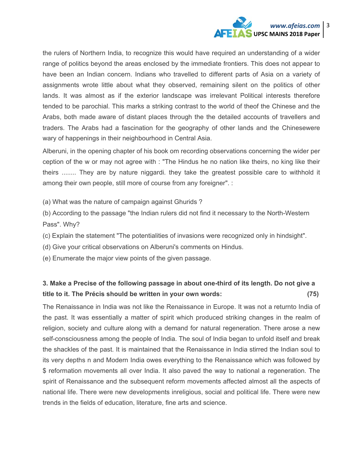

the rulers of Northern India, to recognize this would have required an understanding of a wider range of politics beyond the areas enclosed by the immediate frontiers. This does not appear to have been an Indian concern. Indians who travelled to different parts of Asia on a variety of assignments wrote little about what they observed, remaining silent on the politics of other lands. It was almost as if the exterior landscape was irrelevant Political interests therefore tended to be parochial. This marks a striking contrast to the world of theof the Chinese and the Arabs, both made aware of distant places through the the detailed accounts of travellers and traders. The Arabs had a fascination for the geography of other lands and the Chinesewere wary of happenings in their neighbourhood in Central Asia.

Alberuni, in the opening chapter of his book om recording observations concerning the wider per ception of the w or may not agree with : "The Hindus he no nation like theirs, no king like their theirs ........ They are by nature niggardi. they take the greatest possible care to withhold it among their own people, still more of course from any foreigner". :

(a) What was the nature of campaign against Ghurids ?

(b) According to the passage "the Indian rulers did not find it necessary to the North-Western Pass". Why?

(c) Explain the statement "The potentialities of invasions were recognized only in hindsight".

(d) Give your critical observations on Alberuni's comments on Hindus.

(e) Enumerate the major view points of the given passage.

### **3. Make a Precise of the following passage in about one-third of its length. Do not give a title to it. The Précis should be written in your own words: (75)**

The Renaissance in India was not like the Renaissance in Europe. It was not a returnto India of the past. It was essentially a matter of spirit which produced striking changes in the realm of religion, society and culture along with a demand for natural regeneration. There arose a new self-consciousness among the people of India. The soul of India began to unfold itself and break the shackles of the past. It is maintained that the Renaissance in India stirred the Indian soul to its very depths n and Modern India owes everything to the Renaissance which was followed by \$ reformation movements all over India. It also paved the way to national a regeneration. The spirit of Renaissance and the subsequent reform movements affected almost all the aspects of national life. There were new developments inreligious, social and political life. There were new trends in the fields of education, literature, fine arts and science.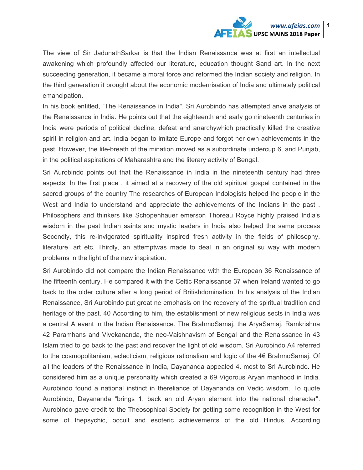

The view of Sir JadunathSarkar is that the Indian Renaissance was at first an intellectual awakening which profoundly affected our literature, education thought Sand art. In the next succeeding generation, it became a moral force and reformed the Indian society and religion. In the third generation it brought about the economic modernisation of India and ultimately political emancipation.

In his book entitled, "The Renaissance in India". Sri Aurobindo has attempted anve analysis of the Renaissance in India. He points out that the eighteenth and early go nineteenth centuries in India were periods of political decline, defeat and anarchywhich practically killed the creative spirit in religion and art. India began to imitate Europe and forgot her own achievements in the past. However, the life-breath of the mination moved as a subordinate undercup 6, and Punjab, in the political aspirations of Maharashtra and the literary activity of Bengal.

Sri Aurobindo points out that the Renaissance in India in the nineteenth century had three aspects. In the first place , it aimed at a recovery of the old spiritual gospel contained in the sacred groups of the country The researches of European Indologists helped the people in the West and India to understand and appreciate the achievements of the Indians in the past . Philosophers and thinkers like Schopenhauer emerson Thoreau Royce highly praised India's wisdom in the past Indian saints and mystic leaders in India also helped the same process Secondly, this re-invigorated spirituality inspired fresh activity in the fields of philosophy, literature, art etc. Thirdly, an attemptwas made to deal in an original su way with modern problems in the light of the new inspiration.

Sri Aurobindo did not compare the Indian Renaissance with the European 36 Renaissance of the fifteenth century. He compared it with the Celtic Renaissance 37 when Ireland wanted to go back to the older culture after a long period of Britishdomination. In his analysis of the Indian Renaissance, Sri Aurobindo put great ne emphasis on the recovery of the spiritual tradition and heritage of the past. 40 According to him, the establishment of new religious sects in India was a central A event in the Indian Renaissance. The BrahmoSamaj, the AryaSamaj, Ramkrishna 42 Paramhans and Vivekananda, the neo-Vaishnavism of Bengal and the Renaissance in 43 Islam tried to go back to the past and recover the light of old wisdom. Sri Aurobindo A4 referred to the cosmopolitanism, eclecticism, religious rationalism and logic of the 4€ BrahmoSamaj. Of all the leaders of the Renaissance in India, Dayananda appealed 4. most to Sri Aurobindo. He considered him as a unique personality which created a 69 Vigorous Aryan manhood in India. Aurobindo found a national instinct in thereliance of Dayananda on Vedic wisdom. To quote Aurobindo, Dayananda "brings 1. back an old Aryan element into the national character". Aurobindo gave credit to the Theosophical Society for getting some recognition in the West for some of thepsychic, occult and esoteric achievements of the old Hindus. According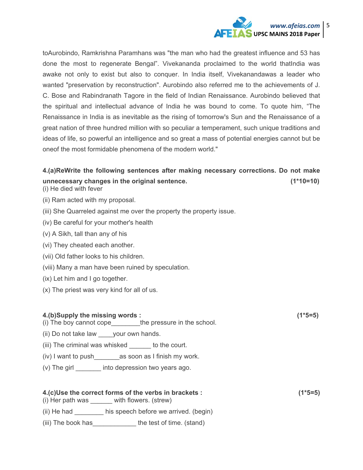

toAurobindo, Ramkrishna Paramhans was "the man who had the greatest influence and 53 has done the most to regenerate Bengal". Vivekananda proclaimed to the world thatIndia was awake not only to exist but also to conquer. In India itself, Vivekanandawas a leader who wanted "preservation by reconstruction". Aurobindo also referred me to the achievements of J. C. Bose and Rabindranath Tagore in the field of Indian Renaissance. Aurobindo believed that the spiritual and intellectual advance of India he was bound to come. To quote him, "The Renaissance in India is as inevitable as the rising of tomorrow's Sun and the Renaissance of a great nation of three hundred million with so peculiar a temperament, such unique traditions and ideas of life, so powerful an intelligence and so great a mass of potential energies cannot but be oneof the most formidable phenomena of the modern world."

## **4.(a)ReWrite the following sentences after making necessary corrections. Do not make unnecessary changes in the original sentence. (1\*10=10)**

- (i) He died with fever
- (ii) Ram acted with my proposal.
- (iii) She Quarreled against me over the property the property issue.
- (iv) Be careful for your mother's health
- (v) A Sikh, tall than any of his
- (vi) They cheated each another.
- (vii) Old father looks to his children.
- (viii) Many a man have been ruined by speculation.
- (ix) Let him and I go together.
- (x) The priest was very kind for all of us.

#### **4.(b)Supply the missing words : (1\*5=5)**

(i) The boy cannot cope\_\_\_\_\_\_\_\_the pressure in the school.

- (ii) Do not take law \_\_\_\_your own hands.
- (iii) The criminal was whisked \_\_\_\_\_\_ to the court.
- (iv) I want to push\_\_\_\_\_\_\_as soon as I finish my work.
- (v) The girl \_\_\_\_\_\_\_ into depression two years ago.

# **4.(c)Use the correct forms of the verbs in brackets : (1\*5=5)**

(i) Her path was with flowers. (strew)

- (ii) He had his speech before we arrived. (begin)
- (iii) The book has \_\_\_\_\_\_\_\_\_\_\_\_\_ the test of time. (stand)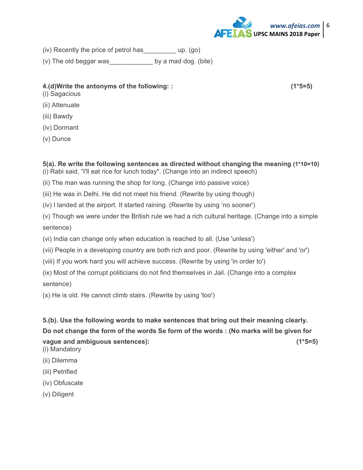

(iv) Recently the price of petrol has\_\_\_\_\_\_\_\_\_ up. (go)

(v) The old beggar was\_\_\_\_\_\_\_\_\_\_\_\_ by a mad dog. (bite)

#### **4.(d)Write the antonyms of the following: : (1\*5=5)**

- (i) Sagacious
- (ii) Attenuate
- (iii) Bawdy
- (iv) Dormant
- (v) Dunce

## **5(a). Re write the following sentences as directed without changing the meaning (1\*10=10)**

- (i) Rabi said, "I'll eat rice for lunch today". (Change into an indirect speech)
- (ii) The man was running the shop for long. (Change into passive voice)
- (iii) He was in Delhi. He did not meet his friend. (Rewrite by using though)
- (iv) I landed at the airport. It started raining. (Rewrite by using 'no sooner')

(v) Though we were under the British rule we had a rich cultural heritage. (Change into a simple sentence)

- (vi) India can change only when education is reached to all. (Use 'unless')
- (vii) People in a developing country are both rich and poor. (Rewrite by using 'either' and 'or')
- (viii) If you work hard you will achieve success. (Rewrite by using 'in order to')
- (ix) Most of the corrupt politicians do not find themselves in Jail. (Change into a complex

sentence)

(x) He is old. He cannot climb stairs. (Rewrite by using 'too')

## **5.(b). Use the following words to make sentences that bring out their meaning clearly.**

**Do not change the form of the words Se form of the words : (No marks will be given for** 

**vague and ambiguous sentences): (1\*5=5)**

- (i) Mandatory
- (ii) Dilemma
- (iii) Petrified
- (iv) Obfuscate
- (v) Diligent